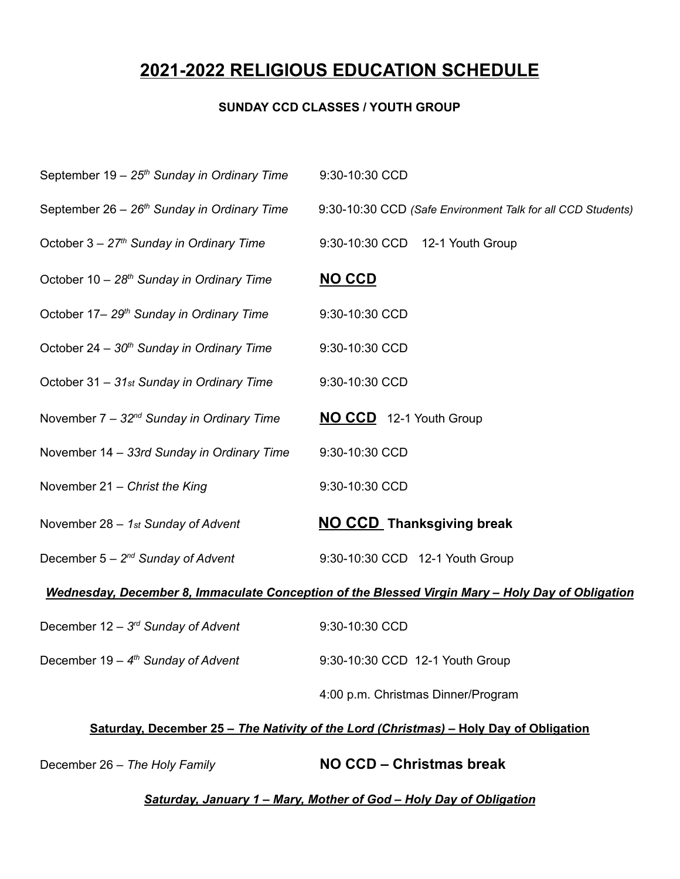## **2021-2022 RELIGIOUS EDUCATION SCHEDULE**

## **SUNDAY CCD CLASSES / YOUTH GROUP**

| September 19 - 25 <sup>th</sup> Sunday in Ordinary Time                                          | 9:30-10:30 CCD                                              |  |
|--------------------------------------------------------------------------------------------------|-------------------------------------------------------------|--|
| September 26 - 26 <sup>th</sup> Sunday in Ordinary Time                                          | 9:30-10:30 CCD (Safe Environment Talk for all CCD Students) |  |
| October $3 - 27th$ Sunday in Ordinary Time                                                       | 9:30-10:30 CCD 12-1 Youth Group                             |  |
| October 10 - 28 <sup>th</sup> Sunday in Ordinary Time                                            | <b>NO CCD</b>                                               |  |
| October 17-29 <sup>th</sup> Sunday in Ordinary Time                                              | 9:30-10:30 CCD                                              |  |
| October 24 - 30 <sup>th</sup> Sunday in Ordinary Time                                            | 9:30-10:30 CCD                                              |  |
| October 31 - 31st Sunday in Ordinary Time                                                        | 9:30-10:30 CCD                                              |  |
| November $7 - 32^{nd}$ Sunday in Ordinary Time                                                   | NO CCD 12-1 Youth Group                                     |  |
| November 14 - 33rd Sunday in Ordinary Time                                                       | 9:30-10:30 CCD                                              |  |
| November 21 - Christ the King                                                                    | 9:30-10:30 CCD                                              |  |
| November $28 - 1st$ Sunday of Advent                                                             | <b>NO CCD</b> Thanksgiving break                            |  |
| December $5 - 2^{nd}$ Sunday of Advent                                                           | 9:30-10:30 CCD 12-1 Youth Group                             |  |
| Wednesday, December 8, Immaculate Conception of the Blessed Virgin Mary - Holy Day of Obligation |                                                             |  |
| December $12 - 3^{rd}$ Sunday of Advent                                                          | 9:30-10:30 CCD                                              |  |
| December $19 - 4th$ Sunday of Advent                                                             | 9:30-10:30 CCD 12-1 Youth Group                             |  |
|                                                                                                  | 4:00 p.m. Christmas Dinner/Program                          |  |

## **Saturday, December 25 –** *The Nativity of the Lord (Christmas)* **– Holy Day of Obligation**

December 26 – *The Holy Family* **NO CCD – Christmas break**

*Saturday, January 1 – Mary, Mother of God – Holy Day of Obligation*